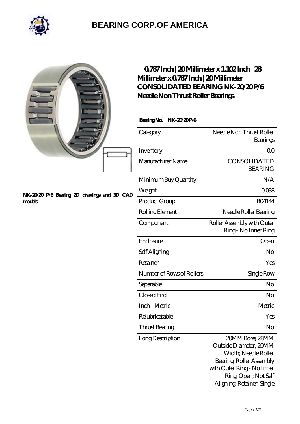

## **[BEARING CORP.OF AMERICA](https://bluemondayreview.com)**

|                                                       |  | $0787$ Inch   20 Millimeter x 1. 102 Inch   28<br>Millimeter x 0787 Inch   20 Millimeter<br>CONSOLIDATED BEARING NK-20/20P/6<br>Needle Non Thrust Roller Bearings<br>BearingNo.<br>NK-2020P/6 |                                                                                                                                                                                 |
|-------------------------------------------------------|--|-----------------------------------------------------------------------------------------------------------------------------------------------------------------------------------------------|---------------------------------------------------------------------------------------------------------------------------------------------------------------------------------|
|                                                       |  | Category                                                                                                                                                                                      | Needle Non Thrust Roller<br>Bearings                                                                                                                                            |
|                                                       |  | Inventory                                                                                                                                                                                     | 0 <sup>0</sup>                                                                                                                                                                  |
|                                                       |  | Manufacturer Name                                                                                                                                                                             | CONSOLIDATED<br><b>BEARING</b>                                                                                                                                                  |
| NK-20'20 P/6 Bearing 2D drawings and 3D CAD<br>models |  | Minimum Buy Quantity                                                                                                                                                                          | N/A                                                                                                                                                                             |
|                                                       |  | Weight                                                                                                                                                                                        | 008                                                                                                                                                                             |
|                                                       |  | Product Group                                                                                                                                                                                 | <b>BO4144</b>                                                                                                                                                                   |
|                                                       |  | Rolling Element                                                                                                                                                                               | Needle Roller Bearing                                                                                                                                                           |
|                                                       |  | Component                                                                                                                                                                                     | Roller Assembly with Outer<br>Ring - No Inner Ring                                                                                                                              |
|                                                       |  | Enclosure                                                                                                                                                                                     | Open                                                                                                                                                                            |
|                                                       |  | Self Aligning                                                                                                                                                                                 | No                                                                                                                                                                              |
|                                                       |  | Retainer                                                                                                                                                                                      | Yes                                                                                                                                                                             |
|                                                       |  | Number of Rows of Rollers                                                                                                                                                                     | Single Row                                                                                                                                                                      |
|                                                       |  | Separable                                                                                                                                                                                     | No                                                                                                                                                                              |
|                                                       |  | Closed End                                                                                                                                                                                    | No                                                                                                                                                                              |
|                                                       |  | Inch - Metric                                                                                                                                                                                 | Metric                                                                                                                                                                          |
|                                                       |  | Relubricatable                                                                                                                                                                                | Yes                                                                                                                                                                             |
|                                                       |  | Thrust Bearing                                                                                                                                                                                | N <sub>o</sub>                                                                                                                                                                  |
|                                                       |  | Long Description                                                                                                                                                                              | 20MM Bore; 28MM<br>Outside Diameter; 20MM<br>Width; Needle Roller<br>Bearing, Roller Assembly<br>with Outer Ring - No Inner<br>Ring Open; Not Self<br>Aligning Retainer; Single |